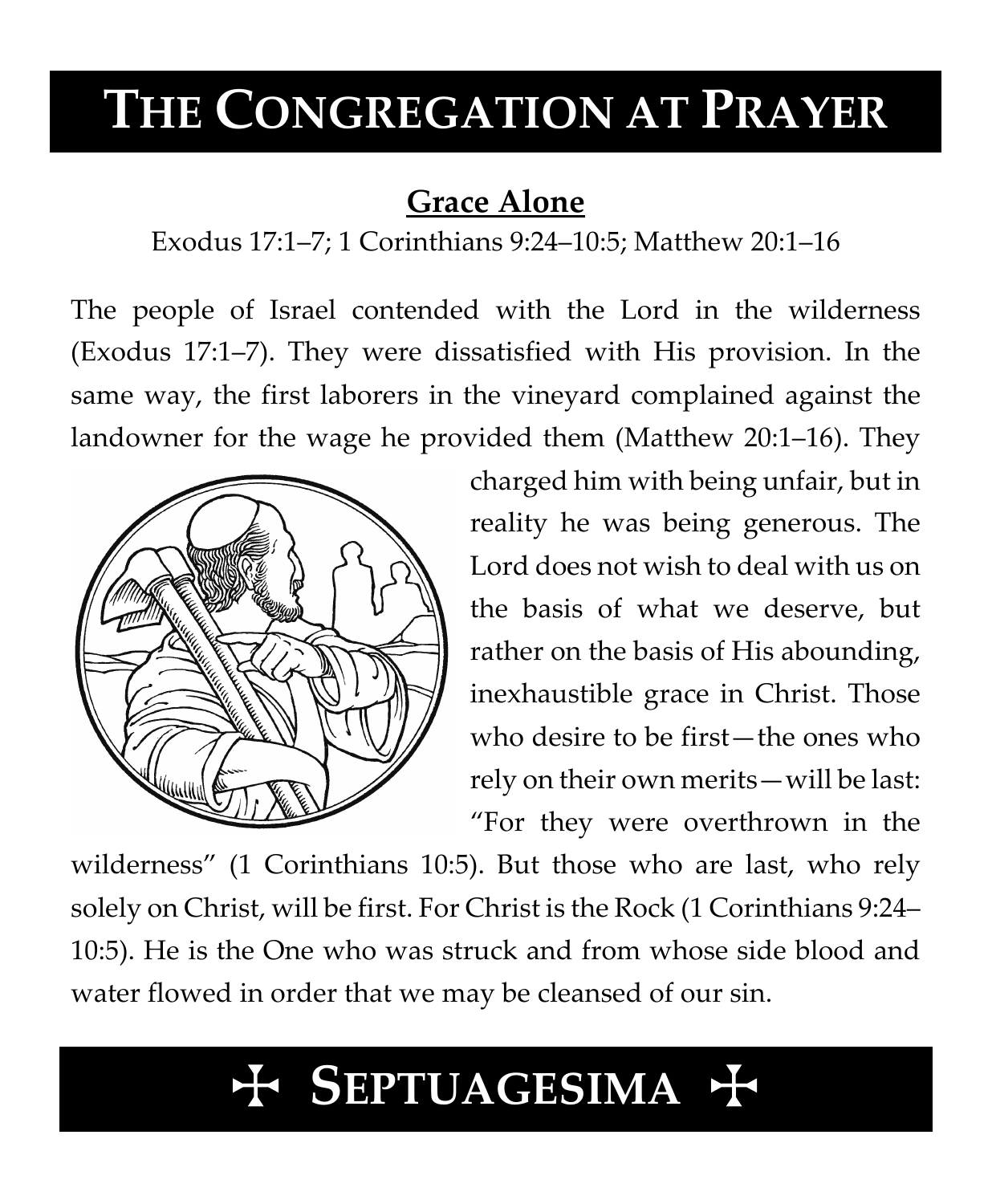# **THE CONGREGATION AT PRAYER**

# **Grace Alone**

Exodus 17:1–7; 1 Corinthians 9:24–10:5; Matthew 20:1–16

The people of Israel contended with the Lord in the wilderness (Exodus 17:1–7). They were dissatisfied with His provision. In the same way, the first laborers in the vineyard complained against the landowner for the wage he provided them (Matthew 20:1–16). They



charged him with being unfair, but in reality he was being generous. The Lord does not wish to deal with us on the basis of what we deserve, but rather on the basis of His abounding, inexhaustible grace in Christ. Those who desire to be first—the ones who rely on their own merits—will be last: "For they were overthrown in the

wilderness" (1 Corinthians 10:5). But those who are last, who rely solely on Christ, will be first. For Christ is the Rock (1 Corinthians 9:24– 10:5). He is the One who was struck and from whose side blood and water flowed in order that we may be cleansed of our sin.

# T **SEPTUAGESIMA** T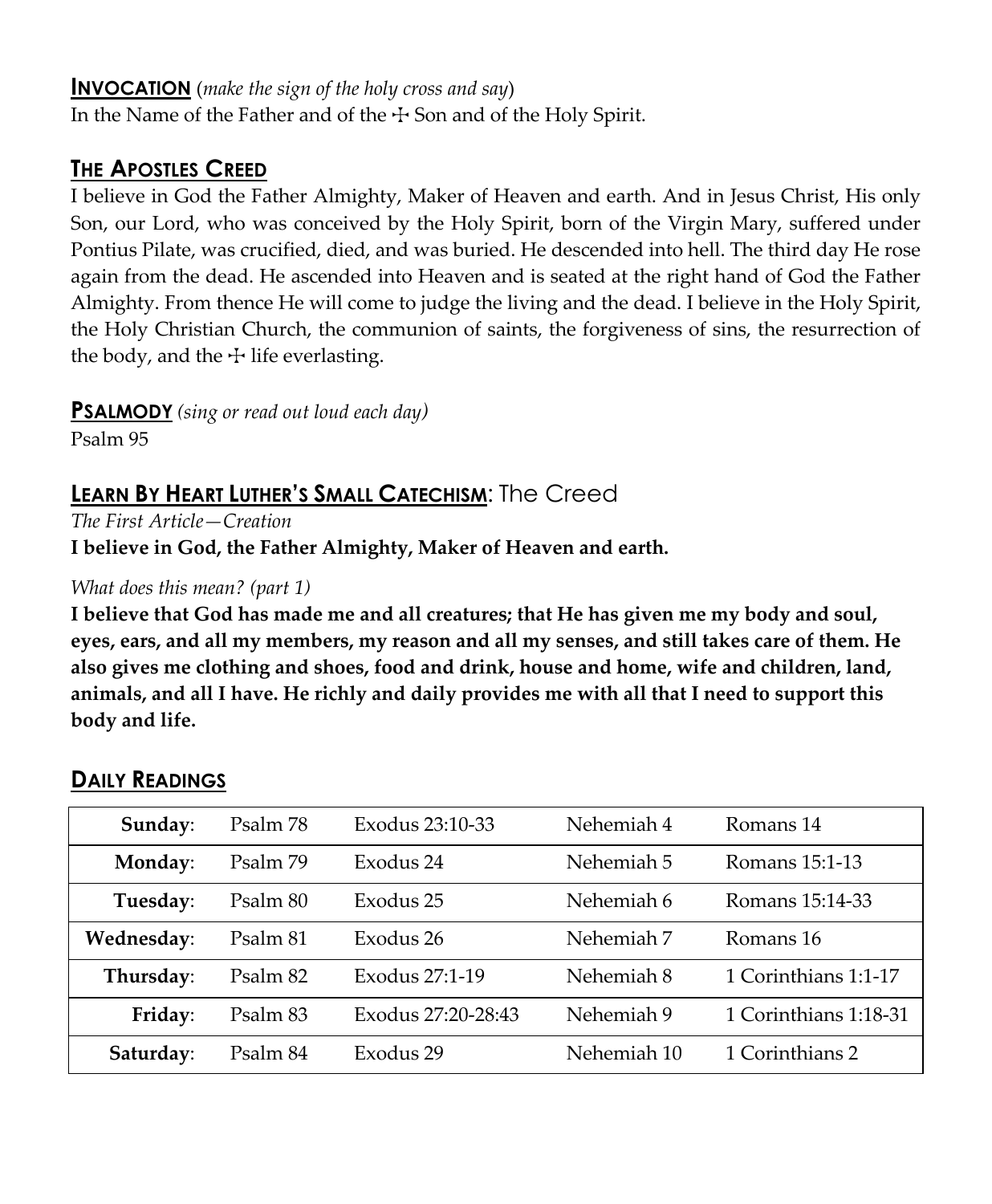#### **INVOCATION** (*make the sign of the holy cross and say*)

In the Name of the Father and of the  $\pm$  Son and of the Holy Spirit.

### **THE APOSTLES CREED**

I believe in God the Father Almighty, Maker of Heaven and earth. And in Jesus Christ, His only Son, our Lord, who was conceived by the Holy Spirit, born of the Virgin Mary, suffered under Pontius Pilate, was crucified, died, and was buried. He descended into hell. The third day He rose again from the dead. He ascended into Heaven and is seated at the right hand of God the Father Almighty. From thence He will come to judge the living and the dead. I believe in the Holy Spirit, the Holy Christian Church, the communion of saints, the forgiveness of sins, the resurrection of the body, and the  $\pm$  life everlasting.

**PSALMODY** *(sing or read out loud each day)*

Psalm 95

## **LEARN BY HEART LUTHER'S SMALL CATECHISM**: The Creed

*The First Article—Creation*

**I believe in God, the Father Almighty, Maker of Heaven and earth.**

#### *What does this mean? (part 1)*

**I believe that God has made me and all creatures; that He has given me my body and soul, eyes, ears, and all my members, my reason and all my senses, and still takes care of them. He also gives me clothing and shoes, food and drink, house and home, wife and children, land, animals, and all I have. He richly and daily provides me with all that I need to support this body and life.**

| Sunday:    | Psalm 78 | Exodus 23:10-33    | Nehemiah 4                          | Romans 14            |  |
|------------|----------|--------------------|-------------------------------------|----------------------|--|
| Monday:    | Psalm 79 | Exodus 24          | Nehemiah 5                          | Romans 15:1-13       |  |
| Tuesday:   | Psalm 80 | Exodus 25          | Nehemiah 6                          | Romans 15:14-33      |  |
| Wednesday: | Psalm 81 | Exodus 26          | Nehemiah 7                          | Romans 16            |  |
| Thursday:  | Psalm 82 | Exodus 27:1-19     | Nehemiah 8                          | 1 Corinthians 1:1-17 |  |
| Friday:    | Psalm 83 | Exodus 27:20-28:43 | 1 Corinthians 1:18-31<br>Nehemiah 9 |                      |  |
| Saturday:  | Psalm 84 | Exodus 29          | Nehemiah 10                         | 1 Corinthians 2      |  |

### **DAILY READINGS**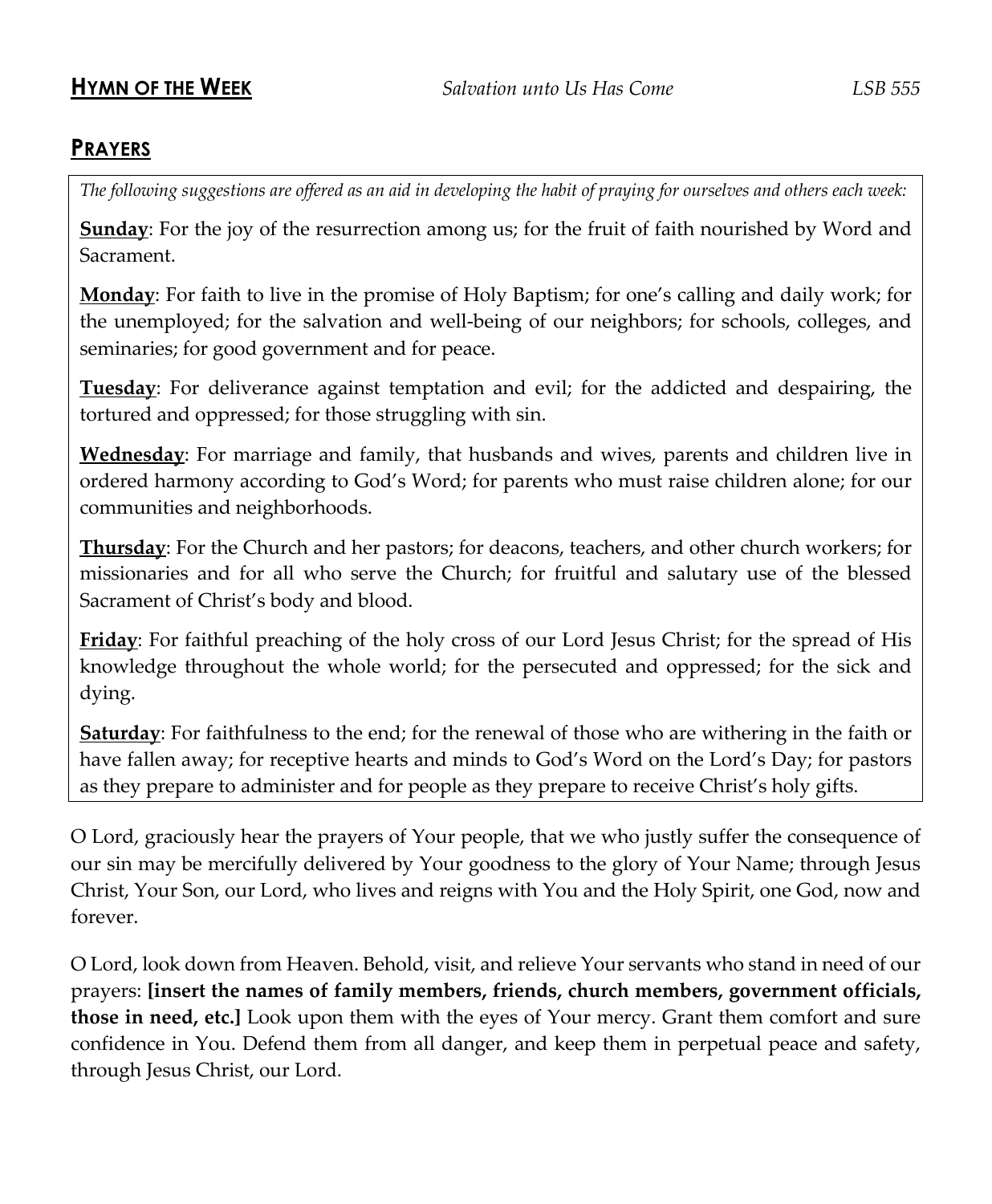#### **PRAYERS**

*The following suggestions are offered as an aid in developing the habit of praying for ourselves and others each week:*

**Sunday**: For the joy of the resurrection among us; for the fruit of faith nourished by Word and Sacrament.

**Monday**: For faith to live in the promise of Holy Baptism; for one's calling and daily work; for the unemployed; for the salvation and well-being of our neighbors; for schools, colleges, and seminaries; for good government and for peace.

**Tuesday**: For deliverance against temptation and evil; for the addicted and despairing, the tortured and oppressed; for those struggling with sin.

**Wednesday**: For marriage and family, that husbands and wives, parents and children live in ordered harmony according to God's Word; for parents who must raise children alone; for our communities and neighborhoods.

**Thursday**: For the Church and her pastors; for deacons, teachers, and other church workers; for missionaries and for all who serve the Church; for fruitful and salutary use of the blessed Sacrament of Christ's body and blood.

**Friday**: For faithful preaching of the holy cross of our Lord Jesus Christ; for the spread of His knowledge throughout the whole world; for the persecuted and oppressed; for the sick and dying.

**Saturday**: For faithfulness to the end; for the renewal of those who are withering in the faith or have fallen away; for receptive hearts and minds to God's Word on the Lord's Day; for pastors as they prepare to administer and for people as they prepare to receive Christ's holy gifts.

O Lord, graciously hear the prayers of Your people, that we who justly suffer the consequence of our sin may be mercifully delivered by Your goodness to the glory of Your Name; through Jesus Christ, Your Son, our Lord, who lives and reigns with You and the Holy Spirit, one God, now and forever.

O Lord, look down from Heaven. Behold, visit, and relieve Your servants who stand in need of our prayers: **[insert the names of family members, friends, church members, government officials, those in need, etc.]** Look upon them with the eyes of Your mercy. Grant them comfort and sure confidence in You. Defend them from all danger, and keep them in perpetual peace and safety, through Jesus Christ, our Lord.